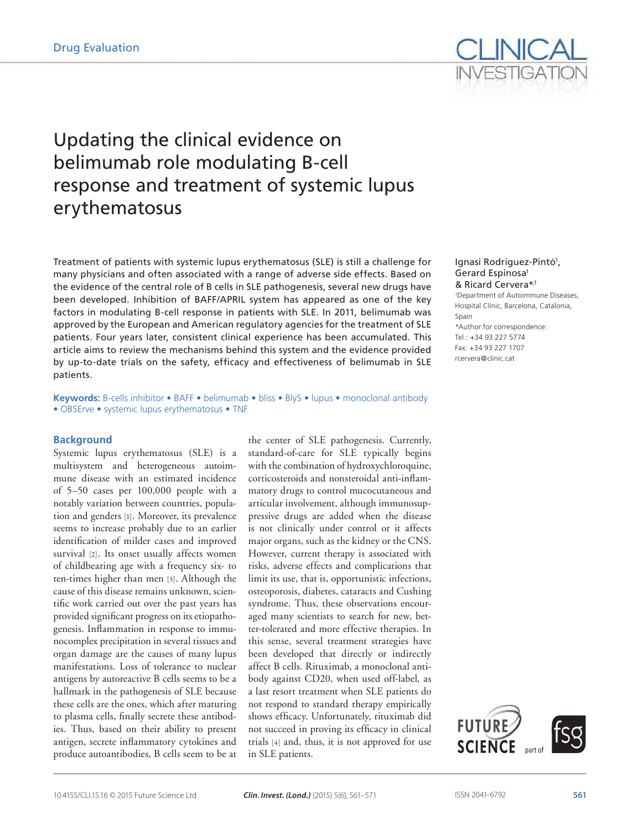

# Updating the clinical evidence on belimumab role modulating B-cell response and treatment of systemic lupus erythematosus

Treatment of patients with systemic lupus erythematosus (SLE) is still a challenge for many physicians and often associated with a range of adverse side effects. Based on the evidence of the central role of B cells in SLE pathogenesis, several new drugs have been developed. Inhibition of BAFF/APRIL system has appeared as one of the key factors in modulating B-cell response in patients with SLE. In 2011, belimumab was approved by the European and American regulatory agencies for the treatment of SLE patients. Four years later, consistent clinical experience has been accumulated. This article aims to review the mechanisms behind this system and the evidence provided by up-to-date trials on the safety, efficacy and effectiveness of belimumab in SLE patients.

**Keywords:** B-cells inhibitor • BAFF • belimumab • bliss • BlyS • lupus • monoclonal antibody • OBSErve • systemic lupus erythematosus • TNF

## **Background**

Systemic lupus erythematosus (SLE) is a multisystem and heterogeneous autoimmune disease with an estimated incidence of 5–50 cases per 100,000 people with a notably variation between countries, population and genders [1]. Moreover, its prevalence seems to increase probably due to an earlier identification of milder cases and improved survival [2]. Its onset usually affects women of childbearing age with a frequency six- to ten-times higher than men [3]. Although the cause of this disease remains unknown, scientific work carried out over the past years has provided significant progress on its etiopathogenesis. Inflammation in response to immunocomplex precipitation in several tissues and organ damage are the causes of many lupus manifestations. Loss of tolerance to nuclear antigens by autoreactive B cells seems to be a hallmark in the pathogenesis of SLE because these cells are the ones, which after maturing to plasma cells, finally secrete these antibodies. Thus, based on their ability to present antigen, secrete inflammatory cytokines and produce autoantibodies, B cells seem to be at the center of SLE pathogenesis. Currently, standard-of-care for SLE typically begins with the combination of hydroxychloroquine, corticosteroids and nonsteroidal anti-inflammatory drugs to control mucocutaneous and articular involvement, although immunosuppressive drugs are added when the disease is not clinically under control or it affects major organs, such as the kidney or the CNS. However, current therapy is associated with risks, adverse effects and complications that limit its use, that is, opportunistic infections, osteoporosis, diabetes, cataracts and Cushing syndrome. Thus, these observations encouraged many scientists to search for new, better-tolerated and more effective therapies. In this sense, several treatment strategies have been developed that directly or indirectly affect B cells. Rituximab, a monoclonal antibody against CD20, when used off-label, as a last resort treatment when SLE patients do not respond to standard therapy empirically shows efficacy. Unfortunately, rituximab did not succeed in proving its efficacy in clinical trials [4] and, thus, it is not approved for use in SLE patients.

Ignasi Rodriguez-Pintó<sup>1</sup>, Gerard Espinosa<sup>1</sup> & Ricard Cervera\*,1

1 Department of Autoimmune Diseases, Hospital Clínic, Barcelona, Catalonia, Spain \*Author for correspondence: Tel.: +34 93 227 5774 Fax: +34 93 227 1707 rcervera@clinic.cat

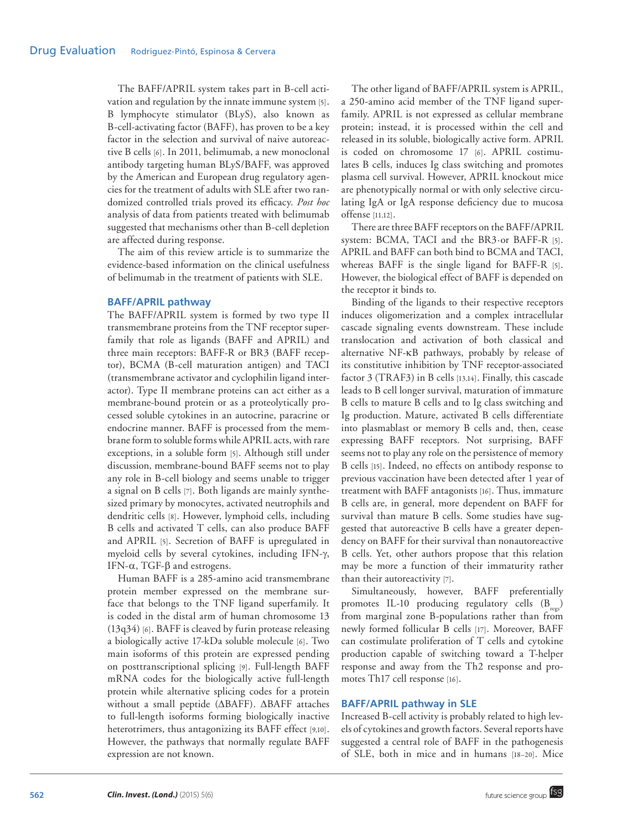The BAFF/APRIL system takes part in B-cell activation and regulation by the innate immune system [5]. B lymphocyte stimulator (BLyS), also known as B-cell-activating factor (BAFF), has proven to be a key factor in the selection and survival of naive autoreactive B cells [6]. In 2011, belimumab, a new monoclonal antibody targeting human BLyS/BAFF, was approved by the American and European drug regulatory agencies for the treatment of adults with SLE after two randomized controlled trials proved its efficacy. *Post hoc* analysis of data from patients treated with belimumab suggested that mechanisms other than B-cell depletion are affected during response.

The aim of this review article is to summarize the evidence-based information on the clinical usefulness of belimumab in the treatment of patients with SLE.

## **BAFF/APRIL pathway**

The BAFF/APRIL system is formed by two type II transmembrane proteins from the TNF receptor superfamily that role as ligands (BAFF and APRIL) and three main receptors: BAFF-R or BR3 (BAFF receptor), BCMA (B-cell maturation antigen) and TACI (transmembrane activator and cyclophilin ligand interactor). Type II membrane proteins can act either as a membrane-bound protein or as a proteolytically processed soluble cytokines in an autocrine, paracrine or endocrine manner. BAFF is processed from the membrane form to soluble forms while APRIL acts, with rare exceptions, in a soluble form [5]. Although still under discussion, membrane-bound BAFF seems not to play any role in B-cell biology and seems unable to trigger a signal on B cells [7]. Both ligands are mainly synthesized primary by monocytes, activated neutrophils and dendritic cells [8]. However, lymphoid cells, including B cells and activated T cells, can also produce BAFF and APRIL [5]. Secretion of BAFF is upregulated in myeloid cells by several cytokines, including IFN-γ, IFN-α, TGF-β and estrogens.

Human BAFF is a 285-amino acid transmembrane protein member expressed on the membrane surface that belongs to the TNF ligand superfamily. It is coded in the distal arm of human chromosome 13 (13q34) [6]. BAFF is cleaved by furin protease releasing a biologically active 17-kDa soluble molecule [6]. Two main isoforms of this protein are expressed pending on posttranscriptional splicing [9]. Full-length BAFF mRNA codes for the biologically active full-length protein while alternative splicing codes for a protein without a small peptide (∆BAFF). ∆BAFF attaches to full-length isoforms forming biologically inactive heterotrimers, thus antagonizing its BAFF effect [9,10]. However, the pathways that normally regulate BAFF expression are not known.

The other ligand of BAFF/APRIL system is APRIL, a 250-amino acid member of the TNF ligand superfamily. APRIL is not expressed as cellular membrane protein; instead, it is processed within the cell and released in its soluble, biologically active form. APRIL is coded on chromosome 17 [6]. APRIL costimulates B cells, induces Ig class switching and promotes plasma cell survival. However, APRIL knockout mice are phenotypically normal or with only selective circulating IgA or IgA response deficiency due to mucosa offense [11,12].

There are three BAFF receptors on the BAFF/APRIL system: BCMA, TACI and the BR3·or BAFF-R [5]. APRIL and BAFF can both bind to BCMA and TACI, whereas BAFF is the single ligand for BAFF-R [5]. However, the biological effect of BAFF is depended on the receptor it binds to.

Binding of the ligands to their respective receptors induces oligomerization and a complex intracellular cascade signaling events downstream. These include translocation and activation of both classical and alternative NF-κB pathways, probably by release of its constitutive inhibition by TNF receptor-associated factor 3 (TRAF3) in B cells [13,14]. Finally, this cascade leads to B cell longer survival, maturation of immature B cells to mature B cells and to Ig class switching and Ig production. Mature, activated B cells differentiate into plasmablast or memory B cells and, then, cease expressing BAFF receptors. Not surprising, BAFF seems not to play any role on the persistence of memory B cells [15]. Indeed, no effects on antibody response to previous vaccination have been detected after 1 year of treatment with BAFF antagonists [16]. Thus, immature B cells are, in general, more dependent on BAFF for survival than mature B cells. Some studies have suggested that autoreactive B cells have a greater dependency on BAFF for their survival than nonautoreactive B cells. Yet, other authors propose that this relation may be more a function of their immaturity rather than their autoreactivity [7].

Simultaneously, however, BAFF preferentially promotes IL-10 producing regulatory cells  $(B_{res})$ from marginal zone B-populations rather than from newly formed follicular B cells [17]. Moreover, BAFF can costimulate proliferation of T cells and cytokine production capable of switching toward a T-helper response and away from the Th2 response and promotes Th17 cell response [16].

### **BAFF/APRIL pathway in SLE**

Increased B-cell activity is probably related to high levels of cytokines and growth factors. Several reports have suggested a central role of BAFF in the pathogenesis of SLE, both in mice and in humans [18–20]. Mice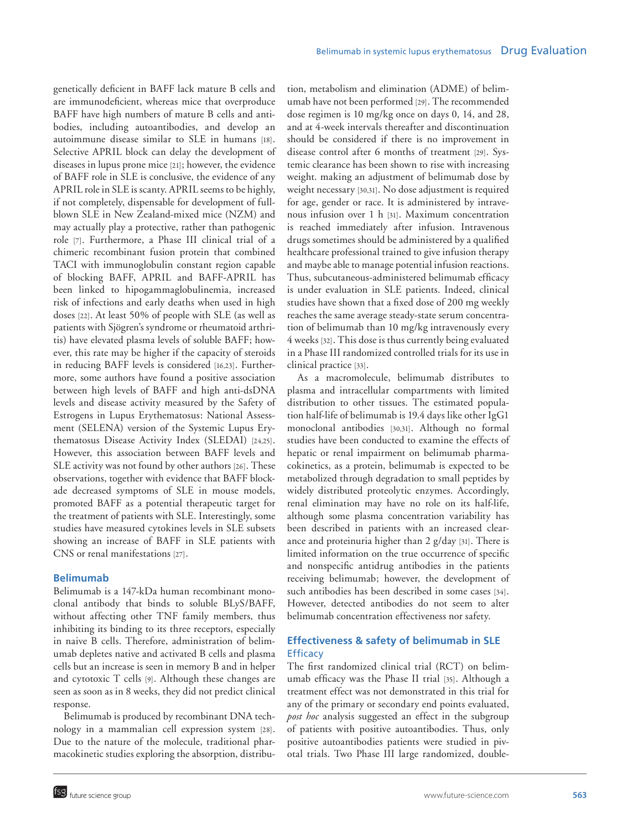genetically deficient in BAFF lack mature B cells and are immunodeficient, whereas mice that overproduce BAFF have high numbers of mature B cells and antibodies, including autoantibodies, and develop an autoimmune disease similar to SLE in humans [18]. Selective APRIL block can delay the development of diseases in lupus prone mice [21]; however, the evidence of BAFF role in SLE is conclusive, the evidence of any APRIL role in SLE is scanty. APRIL seems to be highly, if not completely, dispensable for development of fullblown SLE in New Zealand-mixed mice (NZM) and may actually play a protective, rather than pathogenic role [7]. Furthermore, a Phase III clinical trial of a chimeric recombinant fusion protein that combined TACI with immunoglobulin constant region capable of blocking BAFF, APRIL and BAFF-APRIL has been linked to hipogammaglobulinemia, increased risk of infections and early deaths when used in high doses [22]. At least 50% of people with SLE (as well as patients with Sjögren's syndrome or rheumatoid arthritis) have elevated plasma levels of soluble BAFF; however, this rate may be higher if the capacity of steroids in reducing BAFF levels is considered [16,23]. Furthermore, some authors have found a positive association between high levels of BAFF and high anti-dsDNA levels and disease activity measured by the Safety of Estrogens in Lupus Erythematosus: National Assessment (SELENA) version of the Systemic Lupus Erythematosus Disease Activity Index (SLEDAI) [24,25]. However, this association between BAFF levels and SLE activity was not found by other authors [26]. These observations, together with evidence that BAFF blockade decreased symptoms of SLE in mouse models, promoted BAFF as a potential therapeutic target for the treatment of patients with SLE. Interestingly, some studies have measured cytokines levels in SLE subsets showing an increase of BAFF in SLE patients with CNS or renal manifestations [27].

## **Belimumab**

Belimumab is a 147-kDa human recombinant monoclonal antibody that binds to soluble BLyS/BAFF, without affecting other TNF family members, thus inhibiting its binding to its three receptors, especially in naive B cells. Therefore, administration of belimumab depletes native and activated B cells and plasma cells but an increase is seen in memory B and in helper and cytotoxic T cells [9]. Although these changes are seen as soon as in 8 weeks, they did not predict clinical response.

Belimumab is produced by recombinant DNA technology in a mammalian cell expression system [28]. Due to the nature of the molecule, traditional pharmacokinetic studies exploring the absorption, distribution, metabolism and elimination (ADME) of belimumab have not been performed [29]. The recommended dose regimen is 10 mg/kg once on days 0, 14, and 28, and at 4-week intervals thereafter and discontinuation should be considered if there is no improvement in disease control after 6 months of treatment [29]. Systemic clearance has been shown to rise with increasing weight. making an adjustment of belimumab dose by weight necessary [30,31]. No dose adjustment is required for age, gender or race. It is administered by intravenous infusion over 1 h [31]. Maximum concentration is reached immediately after infusion. Intravenous drugs sometimes should be administered by a qualified healthcare professional trained to give infusion therapy and maybe able to manage potential infusion reactions. Thus, subcutaneous-administered belimumab efficacy is under evaluation in SLE patients. Indeed, clinical studies have shown that a fixed dose of 200 mg weekly reaches the same average steady-state serum concentration of belimumab than 10 mg/kg intravenously every 4 weeks [32]. This dose is thus currently being evaluated in a Phase III randomized controlled trials for its use in clinical practice [33].

As a macromolecule, belimumab distributes to plasma and intracellular compartments with limited distribution to other tissues. The estimated population half-life of belimumab is 19.4 days like other IgG1 monoclonal antibodies [30,31]. Although no formal studies have been conducted to examine the effects of hepatic or renal impairment on belimumab pharmacokinetics, as a protein, belimumab is expected to be metabolized through degradation to small peptides by widely distributed proteolytic enzymes. Accordingly, renal elimination may have no role on its half-life, although some plasma concentration variability has been described in patients with an increased clearance and proteinuria higher than 2 g/day [31]. There is limited information on the true occurrence of specific and nonspecific antidrug antibodies in the patients receiving belimumab; however, the development of such antibodies has been described in some cases [34]. However, detected antibodies do not seem to alter belimumab concentration effectiveness nor safety.

## **Effectiveness & safety of belimumab in SLE Efficacy**

The first randomized clinical trial (RCT) on belimumab efficacy was the Phase II trial [35]. Although a treatment effect was not demonstrated in this trial for any of the primary or secondary end points evaluated, *post hoc* analysis suggested an effect in the subgroup of patients with positive autoantibodies. Thus, only positive autoantibodies patients were studied in pivotal trials. Two Phase III large randomized, double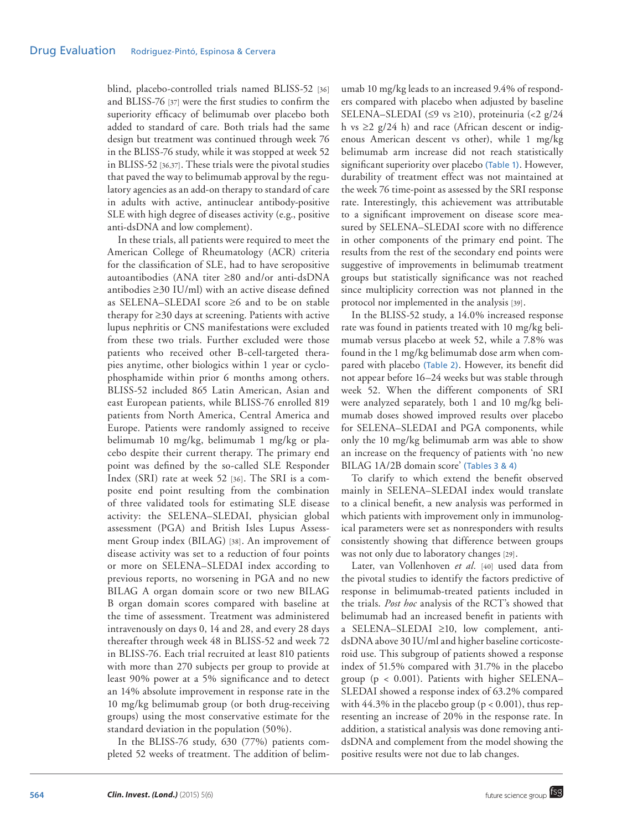blind, placebo-controlled trials named BLISS-52 [36] and BLISS-76 [37] were the first studies to confirm the superiority efficacy of belimumab over placebo both added to standard of care. Both trials had the same design but treatment was continued through week 76 in the BLISS-76 study, while it was stopped at week 52 in BLISS-52 [36,37]. These trials were the pivotal studies that paved the way to belimumab approval by the regulatory agencies as an add-on therapy to standard of care in adults with active, antinuclear antibody-positive SLE with high degree of diseases activity (e.g., positive anti-dsDNA and low complement).

In these trials, all patients were required to meet the American College of Rheumatology (ACR) criteria for the classification of SLE, had to have seropositive autoantibodies (ANA titer ≥80 and/or anti-dsDNA antibodies  $\geq$ 30 IU/ml) with an active disease defined as SELENA–SLEDAI score ≥6 and to be on stable therapy for ≥30 days at screening. Patients with active lupus nephritis or CNS manifestations were excluded from these two trials. Further excluded were those patients who received other B-cell-targeted therapies anytime, other biologics within 1 year or cyclophosphamide within prior 6 months among others. BLISS-52 included 865 Latin American, Asian and east European patients, while BLISS-76 enrolled 819 patients from North America, Central America and Europe. Patients were randomly assigned to receive belimumab 10 mg/kg, belimumab 1 mg/kg or placebo despite their current therapy. The primary end point was defined by the so-called SLE Responder Index (SRI) rate at week 52 [36]. The SRI is a composite end point resulting from the combination of three validated tools for estimating SLE disease activity: the SELENA–SLEDAI, physician global assessment (PGA) and British Isles Lupus Assessment Group index (BILAG) [38]. An improvement of disease activity was set to a reduction of four points or more on SELENA–SLEDAI index according to previous reports, no worsening in PGA and no new BILAG A organ domain score or two new BILAG B organ domain scores compared with baseline at the time of assessment. Treatment was administered intravenously on days 0, 14 and 28, and every 28 days thereafter through week 48 in BLISS-52 and week 72 in BLISS-76. Each trial recruited at least 810 patients with more than 270 subjects per group to provide at least 90% power at a 5% significance and to detect an 14% absolute improvement in response rate in the 10 mg/kg belimumab group (or both drug-receiving groups) using the most conservative estimate for the standard deviation in the population (50%).

In the BLISS-76 study, 630 (77%) patients completed 52 weeks of treatment. The addition of belimumab 10 mg/kg leads to an increased 9.4% of responders compared with placebo when adjusted by baseline SELENA–SLEDAI (≤9 vs ≥10), proteinuria (<2 g/24 h vs  $\geq$ 2 g/24 h) and race (African descent or indigenous American descent vs other), while 1 mg/kg belimumab arm increase did not reach statistically significant superiority over placebo (Table 1). However, durability of treatment effect was not maintained at the week 76 time-point as assessed by the SRI response rate. Interestingly, this achievement was attributable to a significant improvement on disease score measured by SELENA–SLEDAI score with no difference in other components of the primary end point. The results from the rest of the secondary end points were suggestive of improvements in belimumab treatment groups but statistically significance was not reached since multiplicity correction was not planned in the protocol nor implemented in the analysis [39].

In the BLISS-52 study, a 14.0% increased response rate was found in patients treated with 10 mg/kg belimumab versus placebo at week 52, while a 7.8% was found in the 1 mg/kg belimumab dose arm when compared with placebo (Table 2). However, its benefit did not appear before 16–24 weeks but was stable through week 52. When the different components of SRI were analyzed separately, both 1 and 10 mg/kg belimumab doses showed improved results over placebo for SELENA–SLEDAI and PGA components, while only the 10 mg/kg belimumab arm was able to show an increase on the frequency of patients with 'no new BILAG 1A/2B domain score' (Tables 3 & 4)

To clarify to which extend the benefit observed mainly in SELENA–SLEDAI index would translate to a clinical benefit, a new analysis was performed in which patients with improvement only in immunological parameters were set as nonresponders with results consistently showing that difference between groups was not only due to laboratory changes [29].

Later, van Vollenhoven *et al.* [40] used data from the pivotal studies to identify the factors predictive of response in belimumab-treated patients included in the trials. *Post hoc* analysis of the RCT's showed that belimumab had an increased benefit in patients with a SELENA–SLEDAI ≥10, low complement, antidsDNA above 30 IU/ml and higher baseline corticosteroid use. This subgroup of patients showed a response index of 51.5% compared with 31.7% in the placebo group (p < 0.001). Patients with higher SELENA– SLEDAI showed a response index of 63.2% compared with  $44.3\%$  in the placebo group ( $p < 0.001$ ), thus representing an increase of 20% in the response rate. In addition, a statistical analysis was done removing antidsDNA and complement from the model showing the positive results were not due to lab changes.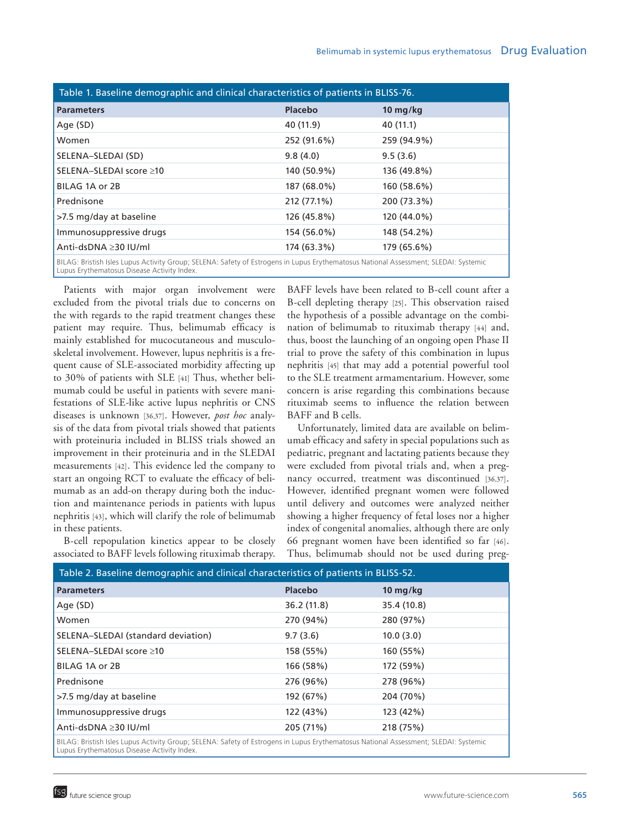| Table 1. Baseline demographic and clinical characteristics of patients in BLISS-76.                                                                                                 |             |             |  |
|-------------------------------------------------------------------------------------------------------------------------------------------------------------------------------------|-------------|-------------|--|
| <b>Parameters</b>                                                                                                                                                                   | Placebo     | 10 $mg/kg$  |  |
| Age (SD)                                                                                                                                                                            | 40 (11.9)   | 40 (11.1)   |  |
| Women                                                                                                                                                                               | 252 (91.6%) | 259 (94.9%) |  |
| SELENA-SLEDAI (SD)                                                                                                                                                                  | 9.8(4.0)    | 9.5(3.6)    |  |
| SELENA-SLEDAI score ≥10                                                                                                                                                             | 140 (50.9%) | 136 (49.8%) |  |
| BILAG 1A or 2B                                                                                                                                                                      | 187 (68.0%) | 160 (58.6%) |  |
| Prednisone                                                                                                                                                                          | 212 (77.1%) | 200 (73.3%) |  |
| >7.5 mg/day at baseline                                                                                                                                                             | 126 (45.8%) | 120 (44.0%) |  |
| Immunosuppressive drugs                                                                                                                                                             | 154 (56.0%) | 148 (54.2%) |  |
| Anti-dsDNA ≥30 IU/ml                                                                                                                                                                | 174 (63.3%) | 179 (65.6%) |  |
| BILAG: Bristish Isles Lupus Activity Group; SELENA: Safety of Estrogens in Lupus Erythematosus National Assessment; SLEDAI: Systemic<br>Lupus Erythematosus Disease Activity Index. |             |             |  |

Patients with major organ involvement were excluded from the pivotal trials due to concerns on the with regards to the rapid treatment changes these patient may require. Thus, belimumab efficacy is mainly established for mucocutaneous and musculoskeletal involvement. However, lupus nephritis is a frequent cause of SLE-associated morbidity affecting up to 30% of patients with SLE [41] Thus, whether belimumab could be useful in patients with severe manifestations of SLE-like active lupus nephritis or CNS diseases is unknown [36,37]. However, *post hoc* analysis of the data from pivotal trials showed that patients with proteinuria included in BLISS trials showed an improvement in their proteinuria and in the SLEDAI measurements [42]. This evidence led the company to start an ongoing RCT to evaluate the efficacy of belimumab as an add-on therapy during both the induction and maintenance periods in patients with lupus nephritis [43], which will clarify the role of belimumab in these patients.

B-cell repopulation kinetics appear to be closely associated to BAFF levels following rituximab therapy. BAFF levels have been related to B-cell count after a B-cell depleting therapy [25]. This observation raised the hypothesis of a possible advantage on the combination of belimumab to rituximab therapy [44] and, thus, boost the launching of an ongoing open Phase II trial to prove the safety of this combination in lupus nephritis [45] that may add a potential powerful tool to the SLE treatment armamentarium. However, some concern is arise regarding this combinations because rituximab seems to influence the relation between BAFF and B cells.

Unfortunately, limited data are available on belimumab efficacy and safety in special populations such as pediatric, pregnant and lactating patients because they were excluded from pivotal trials and, when a pregnancy occurred, treatment was discontinued [36,37]. However, identified pregnant women were followed until delivery and outcomes were analyzed neither showing a higher frequency of fetal loses nor a higher index of congenital anomalies, although there are only 66 pregnant women have been identified so far [46]. Thus, belimumab should not be used during preg-

| Table 2. Baseline demographic and clinical characteristics of patients in BLISS-52.                                                  |                |             |  |
|--------------------------------------------------------------------------------------------------------------------------------------|----------------|-------------|--|
| <b>Parameters</b>                                                                                                                    | <b>Placebo</b> | 10 $mg/kg$  |  |
| Age (SD)                                                                                                                             | 36.2 (11.8)    | 35.4 (10.8) |  |
| Women                                                                                                                                | 270 (94%)      | 280 (97%)   |  |
| SELENA-SLEDAI (standard deviation)                                                                                                   | 9.7(3.6)       | 10.0(3.0)   |  |
| SELENA-SLEDAI score ≥10                                                                                                              | 158 (55%)      | 160 (55%)   |  |
| BILAG 1A or 2B                                                                                                                       | 166 (58%)      | 172 (59%)   |  |
| Prednisone                                                                                                                           | 276 (96%)      | 278 (96%)   |  |
| >7.5 mg/day at baseline                                                                                                              | 192 (67%)      | 204 (70%)   |  |
| Immunosuppressive drugs                                                                                                              | 122 (43%)      | 123 (42%)   |  |
| Anti-dsDNA ≥30 IU/ml                                                                                                                 | 205 (71%)      | 218 (75%)   |  |
| BILAG: Bristish Isles Lupus Activity Group; SELENA: Safety of Estrogens in Lupus Erythematosus National Assessment; SLEDAI: Systemic |                |             |  |

Lupus Erythematosus Disease Activity Index.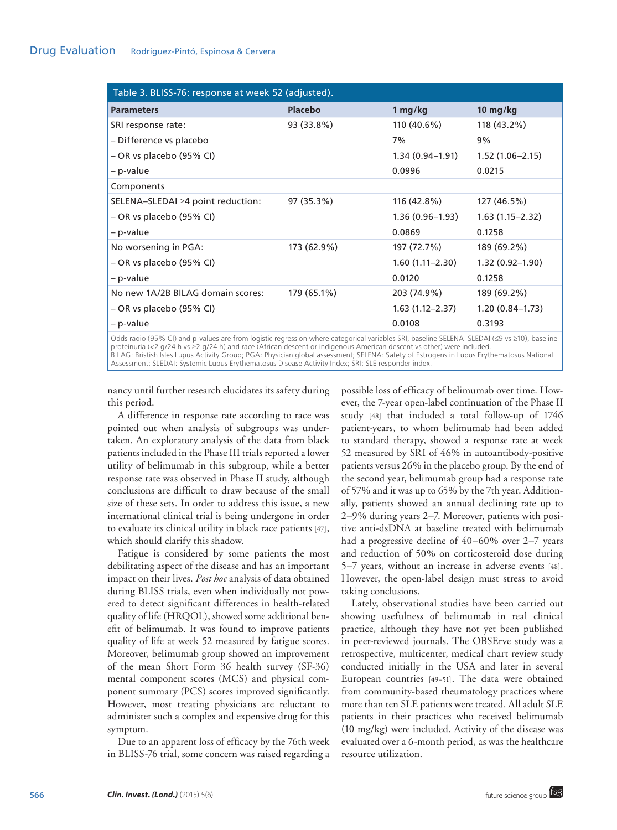| Table 3. BLISS-76: response at week 52 (adjusted). |                |                     |                     |
|----------------------------------------------------|----------------|---------------------|---------------------|
| <b>Parameters</b>                                  | <b>Placebo</b> | 1 mg/kg             | $10$ mg/kg          |
| SRI response rate:                                 | 93 (33.8%)     | 110 (40.6%)         | 118 (43.2%)         |
| – Difference vs placebo                            |                | 7%                  | 9%                  |
| – OR vs placebo (95% CI)                           |                | $1.34(0.94-1.91)$   | $1.52(1.06 - 2.15)$ |
| - p-value                                          |                | 0.0996              | 0.0215              |
| Components                                         |                |                     |                     |
| SELENA-SLEDAI ≥4 point reduction:                  | 97 (35.3%)     | 116 (42.8%)         | 127 (46.5%)         |
| – OR vs placebo (95% CI)                           |                | $1.36(0.96-1.93)$   | $1.63(1.15 - 2.32)$ |
| - p-value                                          |                | 0.0869              | 0.1258              |
| No worsening in PGA:                               | 173 (62.9%)    | 197 (72.7%)         | 189 (69.2%)         |
| – OR vs placebo (95% CI)                           |                | $1.60(1.11 - 2.30)$ | $1.32(0.92 - 1.90)$ |
| - p-value                                          |                | 0.0120              | 0.1258              |
| No new 1A/2B BILAG domain scores:                  | 179 (65.1%)    | 203 (74.9%)         | 189 (69.2%)         |
| – OR vs placebo (95% CI)                           |                | $1.63(1.12 - 2.37)$ | $1.20(0.84 - 1.73)$ |
| - p-value                                          |                | 0.0108              | 0.3193              |

Odds radio (95% CI) and p-values are from logistic regression where categorical variables SRI, baseline SELENA–SLEDAI (≤9 vs ≥10), baseline proteinuria (<2 g/24 h vs ≥2 g/24 h) and race (African descent or indigenous American descent vs other) were included. BILAG: Bristish Isles Lupus Activity Group; PGA: Physician global assessment; SELENA: Safety of Estrogens in Lupus Erythematosus National Assessment; SLEDAI: Systemic Lupus Erythematosus Disease Activity Index; SRI: SLE responder index.

nancy until further research elucidates its safety during this period.

A difference in response rate according to race was pointed out when analysis of subgroups was undertaken. An exploratory analysis of the data from black patients included in the Phase III trials reported a lower utility of belimumab in this subgroup, while a better response rate was observed in Phase II study, although conclusions are difficult to draw because of the small size of these sets. In order to address this issue, a new international clinical trial is being undergone in order to evaluate its clinical utility in black race patients [47], which should clarify this shadow.

Fatigue is considered by some patients the most debilitating aspect of the disease and has an important impact on their lives. *Post hoc* analysis of data obtained during BLISS trials, even when individually not powered to detect significant differences in health-related quality of life (HRQOL), showed some additional benefit of belimumab. It was found to improve patients quality of life at week 52 measured by fatigue scores. Moreover, belimumab group showed an improvement of the mean Short Form 36 health survey (SF-36) mental component scores (MCS) and physical component summary (PCS) scores improved significantly. However, most treating physicians are reluctant to administer such a complex and expensive drug for this symptom.

Due to an apparent loss of efficacy by the 76th week in BLISS-76 trial, some concern was raised regarding a

possible loss of efficacy of belimumab over time. However, the 7-year open-label continuation of the Phase II study [48] that included a total follow-up of 1746 patient-years, to whom belimumab had been added to standard therapy, showed a response rate at week 52 measured by SRI of 46% in autoantibody-positive patients versus 26% in the placebo group. By the end of the second year, belimumab group had a response rate of 57% and it was up to 65% by the 7th year. Additionally, patients showed an annual declining rate up to 2–9% during years 2–7. Moreover, patients with positive anti-dsDNA at baseline treated with belimumab had a progressive decline of 40–60% over 2–7 years and reduction of 50% on corticosteroid dose during 5–7 years, without an increase in adverse events [48]. However, the open-label design must stress to avoid taking conclusions.

Lately, observational studies have been carried out showing usefulness of belimumab in real clinical practice, although they have not yet been published in peer-reviewed journals. The OBSErve study was a retrospective, multicenter, medical chart review study conducted initially in the USA and later in several European countries [49–51]. The data were obtained from community-based rheumatology practices where more than ten SLE patients were treated. All adult SLE patients in their practices who received belimumab (10 mg/kg) were included. Activity of the disease was evaluated over a 6-month period, as was the healthcare resource utilization.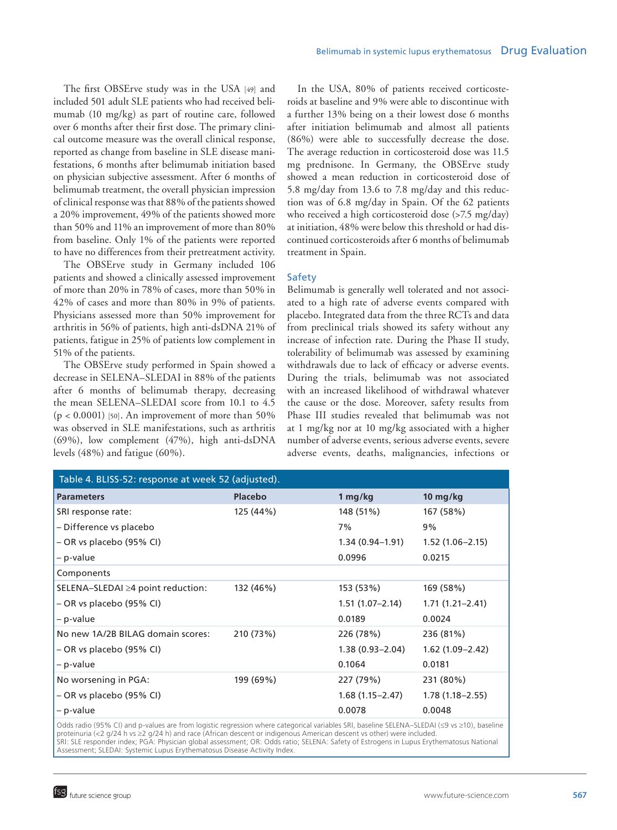The first OBSErve study was in the USA [49] and included 501 adult SLE patients who had received belimumab (10 mg/kg) as part of routine care, followed over 6 months after their first dose. The primary clinical outcome measure was the overall clinical response, reported as change from baseline in SLE disease manifestations, 6 months after belimumab initiation based on physician subjective assessment. After 6 months of belimumab treatment, the overall physician impression of clinical response was that 88% of the patients showed a 20% improvement, 49% of the patients showed more than 50% and 11% an improvement of more than 80% from baseline. Only 1% of the patients were reported to have no differences from their pretreatment activity.

The OBSErve study in Germany included 106 patients and showed a clinically assessed improvement of more than 20% in 78% of cases, more than 50% in 42% of cases and more than 80% in 9% of patients. Physicians assessed more than 50% improvement for arthritis in 56% of patients, high anti-dsDNA 21% of patients, fatigue in 25% of patients low complement in 51% of the patients.

The OBSErve study performed in Spain showed a decrease in SELENA–SLEDAI in 88% of the patients after 6 months of belimumab therapy, decreasing the mean SELENA–SLEDAI score from 10.1 to 4.5  $(p < 0.0001)$  [50]. An improvement of more than 50% was observed in SLE manifestations, such as arthritis (69%), low complement (47%), high anti-dsDNA levels (48%) and fatigue (60%).

In the USA, 80% of patients received corticosteroids at baseline and 9% were able to discontinue with a further 13% being on a their lowest dose 6 months after initiation belimumab and almost all patients (86%) were able to successfully decrease the dose. The average reduction in corticosteroid dose was 11.5 mg prednisone. In Germany, the OBSErve study showed a mean reduction in corticosteroid dose of 5.8 mg/day from 13.6 to 7.8 mg/day and this reduction was of 6.8 mg/day in Spain. Of the 62 patients who received a high corticosteroid dose (>7.5 mg/day) at initiation, 48% were below this threshold or had discontinued corticosteroids after 6 months of belimumab treatment in Spain.

### Safety

Belimumab is generally well tolerated and not associated to a high rate of adverse events compared with placebo. Integrated data from the three RCTs and data from preclinical trials showed its safety without any increase of infection rate. During the Phase II study, tolerability of belimumab was assessed by examining withdrawals due to lack of efficacy or adverse events. During the trials, belimumab was not associated with an increased likelihood of withdrawal whatever the cause or the dose. Moreover, safety results from Phase III studies revealed that belimumab was not at 1 mg/kg nor at 10 mg/kg associated with a higher number of adverse events, serious adverse events, severe adverse events, deaths, malignancies, infections or

| Table 4. BLISS-52: response at week 52 (adjusted).                                                                                          |                |                     |                     |
|---------------------------------------------------------------------------------------------------------------------------------------------|----------------|---------------------|---------------------|
| <b>Parameters</b>                                                                                                                           | <b>Placebo</b> | 1 mg/kg             | 10 $mg/kg$          |
| SRI response rate:                                                                                                                          | 125 (44%)      | 148 (51%)           | 167 (58%)           |
| – Difference vs placebo                                                                                                                     |                | 7%                  | 9%                  |
| – OR vs placebo (95% CI)                                                                                                                    |                | $1.34(0.94 - 1.91)$ | $1.52(1.06 - 2.15)$ |
| - p-value                                                                                                                                   |                | 0.0996              | 0.0215              |
| Components                                                                                                                                  |                |                     |                     |
| SELENA-SLEDAI ≥4 point reduction:                                                                                                           | 132 (46%)      | 153 (53%)           | 169 (58%)           |
| – OR vs placebo (95% CI)                                                                                                                    |                | $1.51(1.07 - 2.14)$ | $1.71(1.21 - 2.41)$ |
| - p-value                                                                                                                                   |                | 0.0189              | 0.0024              |
| No new 1A/2B BILAG domain scores:                                                                                                           | 210 (73%)      | 226 (78%)           | 236 (81%)           |
| – OR vs placebo (95% CI)                                                                                                                    |                | $1.38(0.93 - 2.04)$ | $1.62(1.09 - 2.42)$ |
| – p-value                                                                                                                                   |                | 0.1064              | 0.0181              |
| No worsening in PGA:                                                                                                                        | 199 (69%)      | 227 (79%)           | 231 (80%)           |
| – OR vs placebo (95% CI)                                                                                                                    |                | $1.68(1.15 - 2.47)$ | $1.78(1.18 - 2.55)$ |
| – p-value                                                                                                                                   |                | 0.0078              | 0.0048              |
| Odds radio (95% CI) and p-values are from logistic regression where categorical variables SRI, baseline SELENA-SLEDAI (≤9 vs ≥10), baseline |                |                     |                     |

proteinuria (<2 g/24 h vs ≥2 g/24 h) and race (African descent or indigenous American descent vs other) were included. SRI: SLE responder index; PGA: Physician global assessment; OR: Odds ratio; SELENA: Safety of Estrogens in Lupus Erythematosus National Assessment; SLEDAI: Systemic Lupus Erythematosus Disease Activity Index.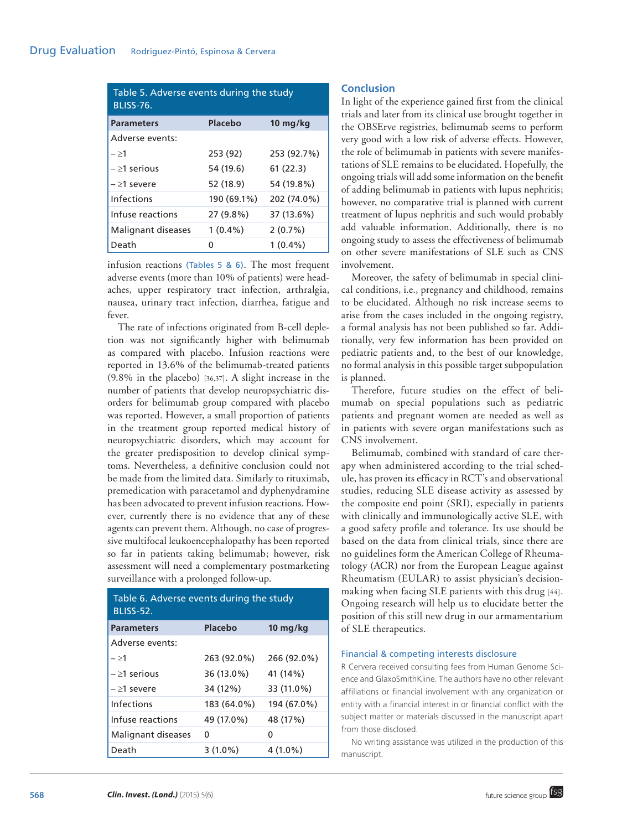| Table 5. Adverse events during the study<br><b>BLISS-76.</b> |             |             |
|--------------------------------------------------------------|-------------|-------------|
| <b>Parameters</b>                                            | Placebo     | 10 mg/ $kg$ |
| Adverse events:                                              |             |             |
| $->1$                                                        | 253 (92)    | 253 (92.7%) |
| $-21$ serious                                                | 54 (19.6)   | 61(22.3)    |
| $-21$ severe                                                 | 52 (18.9)   | 54 (19.8%)  |
| <b>Infections</b>                                            | 190 (69.1%) | 202 (74.0%) |
| Infuse reactions                                             | 27 (9.8%)   | 37 (13.6%)  |
| <b>Malignant diseases</b>                                    | $1(0.4\%)$  | 2(0.7%)     |
| Death                                                        | 0           | $1(0.4\%)$  |

infusion reactions (Tables 5 & 6). The most frequent adverse events (more than 10% of patients) were headaches, upper respiratory tract infection, arthralgia, nausea, urinary tract infection, diarrhea, fatigue and fever.

The rate of infections originated from B-cell depletion was not significantly higher with belimumab as compared with placebo. Infusion reactions were reported in 13.6% of the belimumab-treated patients (9.8% in the placebo) [36,37]. A slight increase in the number of patients that develop neuropsychiatric disorders for belimumab group compared with placebo was reported. However, a small proportion of patients in the treatment group reported medical history of neuropsychiatric disorders, which may account for the greater predisposition to develop clinical symptoms. Nevertheless, a definitive conclusion could not be made from the limited data. Similarly to rituximab, premedication with paracetamol and dyphenydramine has been advocated to prevent infusion reactions. However, currently there is no evidence that any of these agents can prevent them. Although, no case of progressive multifocal leukoencephalopathy has been reported so far in patients taking belimumab; however, risk assessment will need a complementary postmarketing surveillance with a prolonged follow-up.

| Table 6. Adverse events during the study<br>BLISS-52. |             |             |
|-------------------------------------------------------|-------------|-------------|
| <b>Parameters</b>                                     | Placebo     | 10 mg/ $kg$ |
| Adverse events:                                       |             |             |
| $->1$                                                 | 263 (92.0%) | 266 (92.0%) |
| $-21$ serious                                         | 36 (13.0%)  | 41 (14%)    |
| $-21$ severe                                          | 34 (12%)    | 33 (11.0%)  |
| Infections                                            | 183 (64.0%) | 194 (67.0%) |
| Infuse reactions                                      | 49 (17.0%)  | 48 (17%)    |
| <b>Malignant diseases</b>                             | 0           | 0           |
| Death                                                 | $3(1.0\%)$  | $4(1.0\%)$  |

## **Conclusion**

In light of the experience gained first from the clinical trials and later from its clinical use brought together in the OBSErve registries, belimumab seems to perform very good with a low risk of adverse effects. However, the role of belimumab in patients with severe manifestations of SLE remains to be elucidated. Hopefully, the ongoing trials will add some information on the benefit of adding belimumab in patients with lupus nephritis; however, no comparative trial is planned with current treatment of lupus nephritis and such would probably add valuable information. Additionally, there is no ongoing study to assess the effectiveness of belimumab on other severe manifestations of SLE such as CNS involvement.

Moreover, the safety of belimumab in special clinical conditions, i.e., pregnancy and childhood, remains to be elucidated. Although no risk increase seems to arise from the cases included in the ongoing registry, a formal analysis has not been published so far. Additionally, very few information has been provided on pediatric patients and, to the best of our knowledge, no formal analysis in this possible target subpopulation is planned.

Therefore, future studies on the effect of belimumab on special populations such as pediatric patients and pregnant women are needed as well as in patients with severe organ manifestations such as CNS involvement.

Belimumab, combined with standard of care therapy when administered according to the trial schedule, has proven its efficacy in RCT's and observational studies, reducing SLE disease activity as assessed by the composite end point (SRI), especially in patients with clinically and immunologically active SLE, with a good safety profile and tolerance. Its use should be based on the data from clinical trials, since there are no guidelines form the American College of Rheumatology (ACR) nor from the European League against Rheumatism (EULAR) to assist physician's decisionmaking when facing SLE patients with this drug [44]. Ongoing research will help us to elucidate better the position of this still new drug in our armamentarium of SLE therapeutics.

## Financial & competing interests disclosure

R Cervera received consulting fees from Human Genome Science and GlaxoSmithKline. The authors have no other relevant affiliations or financial involvement with any organization or entity with a financial interest in or financial conflict with the subject matter or materials discussed in the manuscript apart from those disclosed.

No writing assistance was utilized in the production of this manuscript.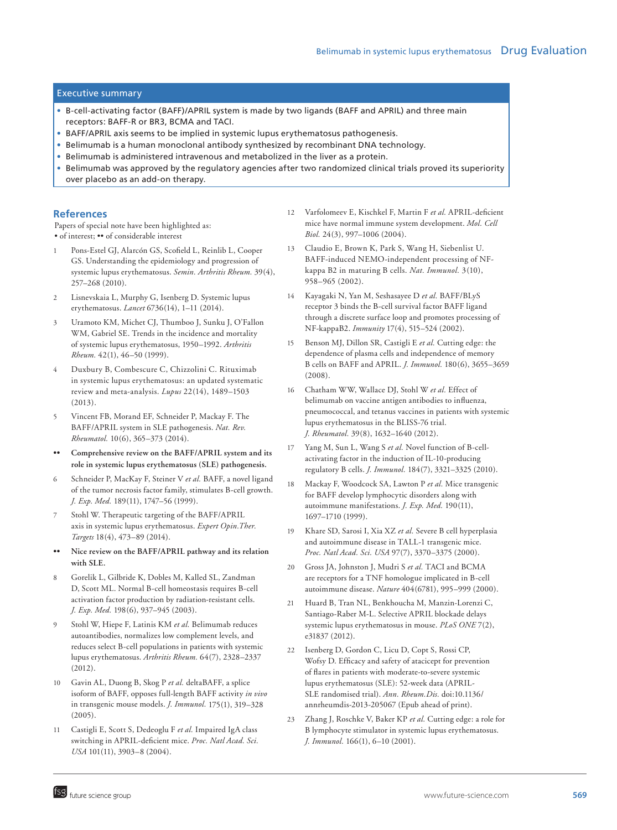#### Executive summary

- • B-cell-activating factor (BAFF)/APRIL system is made by two ligands (BAFF and APRIL) and three main receptors: BAFF-R or BR3, BCMA and TACI.
- • BAFF/APRIL axis seems to be implied in systemic lupus erythematosus pathogenesis.
- • Belimumab is a human monoclonal antibody synthesized by recombinant DNA technology.
- • Belimumab is administered intravenous and metabolized in the liver as a protein.
- • Belimumab was approved by the regulatory agencies after two randomized clinical trials proved its superiority over placebo as an add-on therapy.

## **References**

Papers of special note have been highlighted as: • of interest; •• of considerable interest

- 1 Pons-Estel GJ, Alarcón GS, Scofield L, Reinlib L, Cooper GS. Understanding the epidemiology and progression of systemic lupus erythematosus. *Semin. Arthritis Rheum.* 39(4), 257–268 (2010).
- 2 Lisnevskaia L, Murphy G, Isenberg D. Systemic lupus erythematosus. *Lancet* 6736(14), 1–11 (2014).
- 3 Uramoto KM, Michet CJ, Thumboo J, Sunku J, O'Fallon WM, Gabriel SE. Trends in the incidence and mortality of systemic lupus erythematosus, 1950–1992. *Arthritis Rheum.* 42(1), 46–50 (1999).
- 4 Duxbury B, Combescure C, Chizzolini C. Rituximab in systemic lupus erythematosus: an updated systematic review and meta-analysis. *Lupus* 22(14), 1489–1503 (2013).
- 5 Vincent FB, Morand EF, Schneider P, Mackay F. The BAFF/APRIL system in SLE pathogenesis. *Nat. Rev. Rheumatol.* 10(6), 365–373 (2014).
- **•• Comprehensive review on the BAFF/APRIL system and its role in systemic lupus erythematosus (SLE) pathogenesis.**
- 6 Schneider P, MacKay F, Steiner V *et al.* BAFF, a novel ligand of the tumor necrosis factor family, stimulates B-cell growth. *J. Exp. Med.* 189(11), 1747–56 (1999).
- Stohl W. Therapeutic targeting of the BAFF/APRIL axis in systemic lupus erythematosus. *Expert Opin.Ther. Targets* 18(4), 473–89 (2014).
- **•• Nice review on the BAFF/APRIL pathway and its relation with SLE.**
- 8 Gorelik L, Gilbride K, Dobles M, Kalled SL, Zandman D, Scott ML. Normal B-cell homeostasis requires B-cell activation factor production by radiation-resistant cells. *J. Exp. Med.* 198(6), 937–945 (2003).
- 9 Stohl W, Hiepe F, Latinis KM *et al.* Belimumab reduces autoantibodies, normalizes low complement levels, and reduces select B-cell populations in patients with systemic lupus erythematosus. *Arthritis Rheum.* 64(7), 2328–2337 (2012).
- 10 Gavin AL, Duong B, Skog P *et al.* deltaBAFF, a splice isoform of BAFF, opposes full-length BAFF activity *in vivo* in transgenic mouse models. *J. Immunol.* 175(1), 319–328 (2005).
- 11 Castigli E, Scott S, Dedeoglu F *et al.* Impaired IgA class switching in APRIL-deficient mice. *Proc. Natl Acad. Sci. USA* 101(11), 3903–8 (2004).
- 12 Varfolomeev E, Kischkel F, Martin F *et al.* APRIL-deficient mice have normal immune system development. *Mol. Cell Biol.* 24(3), 997–1006 (2004).
- 13 Claudio E, Brown K, Park S, Wang H, Siebenlist U. BAFF-induced NEMO-independent processing of NFkappa B2 in maturing B cells. *Nat. Immunol.* 3(10), 958–965 (2002).
- 14 Kayagaki N, Yan M, Seshasayee D *et al.* BAFF/BLyS receptor 3 binds the B-cell survival factor BAFF ligand through a discrete surface loop and promotes processing of NF-kappaB2. *Immunity* 17(4), 515–524 (2002).
- 15 Benson MJ, Dillon SR, Castigli E *et al.* Cutting edge: the dependence of plasma cells and independence of memory B cells on BAFF and APRIL. *J. Immunol.* 180(6), 3655–3659 (2008).
- 16 Chatham WW, Wallace DJ, Stohl W *et al.* Effect of belimumab on vaccine antigen antibodies to influenza, pneumococcal, and tetanus vaccines in patients with systemic lupus erythematosus in the BLISS-76 trial. *J. Rheumatol.* 39(8), 1632–1640 (2012).
- 17 Yang M, Sun L, Wang S *et al.* Novel function of B-cellactivating factor in the induction of IL-10-producing regulatory B cells. *J. Immunol.* 184(7), 3321–3325 (2010).
- Mackay F, Woodcock SA, Lawton P et al. Mice transgenic for BAFF develop lymphocytic disorders along with autoimmune manifestations. *J. Exp. Med.* 190(11), 1697–1710 (1999).
- 19 Khare SD, Sarosi I, Xia XZ *et al.* Severe B cell hyperplasia and autoimmune disease in TALL-1 transgenic mice. *Proc. Natl Acad. Sci. USA* 97(7), 3370–3375 (2000).
- 20 Gross JA, Johnston J, Mudri S *et al.* TACI and BCMA are receptors for a TNF homologue implicated in B-cell autoimmune disease. *Nature* 404(6781), 995–999 (2000).
- Huard B, Tran NL, Benkhoucha M, Manzin-Lorenzi C, Santiago-Raber M-L. Selective APRIL blockade delays systemic lupus erythematosus in mouse. *PLoS ONE* 7(2), e31837 (2012).
- 22 Isenberg D, Gordon C, Licu D, Copt S, Rossi CP, Wofsy D. Efficacy and safety of atacicept for prevention of flares in patients with moderate-to-severe systemic lupus erythematosus (SLE): 52-week data (APRIL-SLE randomised trial). *Ann. Rheum.Dis.* doi:10.1136/ annrheumdis-2013-205067 (Epub ahead of print).
- 23 Zhang J, Roschke V, Baker KP *et al.* Cutting edge: a role for B lymphocyte stimulator in systemic lupus erythematosus. *J. Immunol.* 166(1), 6–10 (2001).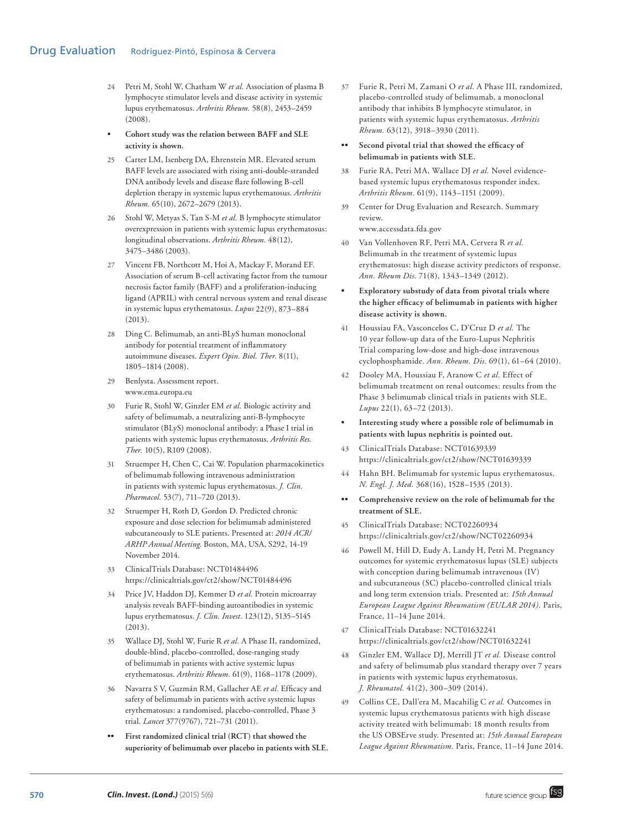## Drug Evaluation Rodriguez-Pintó, Espinosa & Cervera

- 24 Petri M, Stohl W, Chatham W *et al.* Association of plasma B lymphocyte stimulator levels and disease activity in systemic lupus erythematosus. *Arthritis Rheum.* 58(8), 2453–2459 (2008).
- **• Cohort study was the relation between BAFF and SLE activity is shown.**
- 25 Carter LM, Isenberg DA, Ehrenstein MR. Elevated serum BAFF levels are associated with rising anti-double-stranded DNA antibody levels and disease flare following B-cell depletion therapy in systemic lupus erythematosus. *Arthritis Rheum.* 65(10), 2672–2679 (2013).
- 26 Stohl W, Metyas S, Tan S-M *et al.* B lymphocyte stimulator overexpression in patients with systemic lupus erythematosus: longitudinal observations. *Arthritis Rheum.* 48(12), 3475–3486 (2003).
- 27 Vincent FB, Northcott M, Hoi A, Mackay F, Morand EF. Association of serum B-cell activating factor from the tumour necrosis factor family (BAFF) and a proliferation-inducing ligand (APRIL) with central nervous system and renal disease in systemic lupus erythematosus. *Lupus* 22(9), 873–884 (2013).
- 28 Ding C. Belimumab, an anti-BLyS human monoclonal antibody for potential treatment of inflammatory autoimmune diseases. *Expert Opin. Biol. Ther.* 8(11), 1805–1814 (2008).
- 29 Benlysta. Assessment report. www.ema.europa.eu
- 30 Furie R, Stohl W, Ginzler EM *et al.* Biologic activity and safety of belimumab, a neutralizing anti-B-lymphocyte stimulator (BLyS) monoclonal antibody: a Phase I trial in patients with systemic lupus erythematosus. *Arthritis Res. Ther.* 10(5), R109 (2008).
- 31 Struemper H, Chen C, Cai W. Population pharmacokinetics of belimumab following intravenous administration in patients with systemic lupus erythematosus. *J. Clin. Pharmacol.* 53(7), 711–720 (2013).
- 32 Struemper H, Roth D, Gordon D. Predicted chronic exposure and dose selection for belimumab administered subcutaneously to SLE patients. Presented at: *2014 ACR/ ARHP Annual Meeting.* Boston, MA, USA, S292, 14-19 November 2014.
- 33 ClinicalTrials Database: NCT01484496 https://clinicaltrials.gov/ct2/show/NCT01484496
- 34 Price JV, Haddon DJ, Kemmer D *et al.* Protein microarray analysis reveals BAFF-binding autoantibodies in systemic lupus erythematosus. *J. Clin. Invest.* 123(12), 5135–5145 (2013).
- 35 Wallace DJ, Stohl W, Furie R *et al.* A Phase II, randomized, double-blind, placebo-controlled, dose-ranging study of belimumab in patients with active systemic lupus erythematosus. *Arthritis Rheum.* 61(9), 1168–1178 (2009).
- 36 Navarra S V, Guzmán RM, Gallacher AE *et al.* Efficacy and safety of belimumab in patients with active systemic lupus erythematosus: a randomised, placebo-controlled, Phase 3 trial. *Lancet* 377(9767), 721–731 (2011).
- $\frac{1}{100}$  **First** randomized clinical trial (RCT) that showed the **superiority of belimumab over placebo in patients with SLE.**
- 37 Furie R, Petri M, Zamani O *et al.* A Phase III, randomized, placebo-controlled study of belimumab, a monoclonal antibody that inhibits B lymphocyte stimulator, in patients with systemic lupus erythematosus. *Arthritis Rheum.* 63(12), 3918–3930 (2011).
- **•• Second pivotal trial that showed the efficacy of belimumab in patients with SLE.**
- 38 Furie RA, Petri MA, Wallace DJ *et al.* Novel evidencebased systemic lupus erythematosus responder index. *Arthritis Rheum.* 61(9), 1143–1151 (2009).
- 39 Center for Drug Evaluation and Research. Summary review. www.accessdata.fda.gov
- 40 Van Vollenhoven RF, Petri MA, Cervera R *et al.* Belimumab in the treatment of systemic lupus erythematosus: high disease activity predictors of response. *Ann. Rheum Dis.* 71(8), 1343–1349 (2012).
- **• Exploratory substudy of data from pivotal trials where the higher efficacy of belimumab in patients with higher disease activity is shown.**
- 41 Houssiau FA, Vasconcelos C, D'Cruz D *et al.* The 10 year follow-up data of the Euro-Lupus Nephritis Trial comparing low-dose and high-dose intravenous cyclophosphamide. *Ann. Rheum. Dis.* 69(1), 61–64 (2010).
- 42 Dooley MA, Houssiau F, Aranow C *et al.* Effect of belimumab treatment on renal outcomes: results from the Phase 3 belimumab clinical trials in patients with SLE. *Lupus* 22(1), 63–72 (2013).
- **• Interesting study where a possible role of belimumab in patients with lupus nephritis is pointed out.**
- 43 ClinicalTrials Database: NCT01639339 https://clinicaltrials.gov/ct2/show/NCT01639339
- 44 Hahn BH. Belimumab for systemic lupus erythematosus. *N. Engl. J. Med.* 368(16), 1528–1535 (2013).
- **•• Comprehensive review on the role of belimumab for the treatment of SLE.**
- 45 ClinicalTrials Database: NCT02260934 https://clinicaltrials.gov/ct2/show/NCT02260934
- 46 Powell M, Hill D, Eudy A, Landy H, Petri M. Pregnancy outcomes for systemic erythematosus lupus (SLE) subjects with conception during belimumab intravenous (IV) and subcutaneous (SC) placebo-controlled clinical trials and long term extension trials. Presented at: *15th Annual European League Against Rheumatism (EULAR 2014).* Paris, France, 11–14 June 2014.
- 47 ClinicalTrials Database: NCT01632241 https://clinicaltrials.gov/ct2/show/NCT01632241
- 48 Ginzler EM, Wallace DJ, Merrill JT *et al.* Disease control and safety of belimumab plus standard therapy over 7 years in patients with systemic lupus erythematosus. *J. Rheumatol.* 41(2), 300–309 (2014).
- 49 Collins CE, Dall'era M, Macahilig C *et al.* Outcomes in systemic lupus erythematosus patients with high disease activity treated with belimumab: 18 month results from the US OBSErve study. Presented at: *15th Annual European League Against Rheumatism.* Paris, France, 11–14 June 2014.